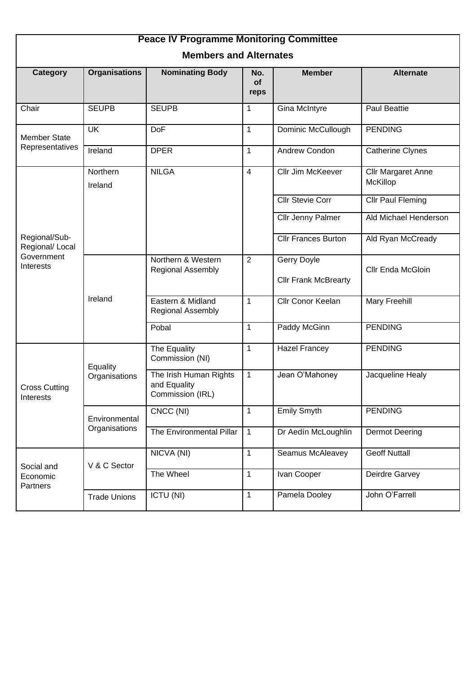| <b>Peace IV Programme Monitoring Committee</b>              |                                |                                                            |                   |                                            |                                       |  |  |  |  |
|-------------------------------------------------------------|--------------------------------|------------------------------------------------------------|-------------------|--------------------------------------------|---------------------------------------|--|--|--|--|
| <b>Members and Alternates</b>                               |                                |                                                            |                   |                                            |                                       |  |  |  |  |
| Category                                                    | <b>Organisations</b>           | <b>Nominating Body</b>                                     | No.<br>of<br>reps | <b>Member</b>                              | <b>Alternate</b>                      |  |  |  |  |
| Chair                                                       | <b>SEUPB</b>                   | <b>SEUPB</b>                                               | 1                 | Gina McIntyre                              | <b>Paul Beattie</b>                   |  |  |  |  |
| <b>Member State</b><br>Representatives                      | <b>UK</b>                      | DoF                                                        | 1                 | Dominic McCullough                         | <b>PENDING</b>                        |  |  |  |  |
|                                                             | Ireland                        | <b>DPER</b>                                                | 1                 | Andrew Condon                              | <b>Catherine Clynes</b>               |  |  |  |  |
| Regional/Sub-<br>Regional/ Local<br>Government<br>Interests | Northern<br>Ireland            | <b>NILGA</b>                                               | $\overline{4}$    | Cllr Jim McKeever                          | <b>Cllr Margaret Anne</b><br>McKillop |  |  |  |  |
|                                                             |                                |                                                            |                   | <b>Cllr Stevie Corr</b>                    | <b>Cllr Paul Fleming</b>              |  |  |  |  |
|                                                             |                                |                                                            |                   | Cllr Jenny Palmer                          | Ald Michael Henderson                 |  |  |  |  |
|                                                             |                                |                                                            |                   | <b>Cllr Frances Burton</b>                 | Ald Ryan McCready                     |  |  |  |  |
|                                                             | Ireland                        | Northern & Western<br><b>Regional Assembly</b>             | $\overline{2}$    | Gerry Doyle<br><b>Cllr Frank McBrearty</b> | Cllr Enda McGloin                     |  |  |  |  |
|                                                             |                                | Eastern & Midland<br><b>Regional Assembly</b>              | 1                 | Cllr Conor Keelan                          | Mary Freehill                         |  |  |  |  |
|                                                             |                                | Pobal                                                      | 1                 | Paddy McGinn                               | <b>PENDING</b>                        |  |  |  |  |
| <b>Cross Cutting</b><br>Interests                           | Equality<br>Organisations      | The Equality<br>Commission (NI)                            | 1                 | <b>Hazel Francey</b>                       | <b>PENDING</b>                        |  |  |  |  |
|                                                             |                                | The Irish Human Rights<br>and Equality<br>Commission (IRL) | $\mathbf{1}$      | Jean O'Mahoney                             | Jacqueline Healy                      |  |  |  |  |
|                                                             | Environmental<br>Organisations | CNCC (NI)                                                  | $\mathbf{1}$      | <b>Emily Smyth</b>                         | <b>PENDING</b>                        |  |  |  |  |
|                                                             |                                | The Environmental Pillar                                   | $\mathbf{1}$      | Dr Aedín McLoughlin                        | <b>Dermot Deering</b>                 |  |  |  |  |
| Social and<br>Economic<br>Partners                          | V & C Sector                   | NICVA (NI)                                                 | $\mathbf{1}$      | Seamus McAleavey                           | <b>Geoff Nuttall</b>                  |  |  |  |  |
|                                                             |                                | The Wheel                                                  | $\mathbf{1}$      | Ivan Cooper                                | Deirdre Garvey                        |  |  |  |  |
|                                                             | <b>Trade Unions</b>            | ICTU (NI)                                                  | $\mathbf{1}$      | Pamela Dooley                              | John O'Farrell                        |  |  |  |  |